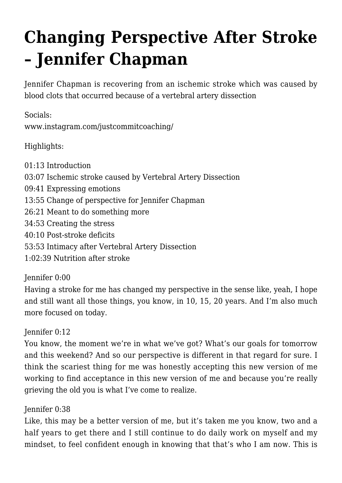# **[Changing Perspective After Stroke](https://recoveryafterstroke.com/changing-perspective-after-stroke-jennifer-chapman/) [– Jennifer Chapman](https://recoveryafterstroke.com/changing-perspective-after-stroke-jennifer-chapman/)**

Jennifer Chapman is recovering from an ischemic stroke which was caused by blood clots that occurred because of a vertebral artery dissection

Socials: [www.instagram.com/justcommitcoaching/](http://www.instagram.com/justcommitcoaching/)

Highlights:

01:13 Introduction 03:07 Ischemic stroke caused by Vertebral Artery Dissection 09:41 Expressing emotions 13:55 Change of perspective for Jennifer Chapman 26:21 Meant to do something more 34:53 Creating the stress 40:10 Post-stroke deficits 53:53 Intimacy after Vertebral Artery Dissection 1:02:39 Nutrition after stroke

#### Jennifer 0:00

Having a stroke for me has changed my perspective in the sense like, yeah, I hope and still want all those things, you know, in 10, 15, 20 years. And I'm also much more focused on today.

#### Jennifer 0:12

You know, the moment we're in what we've got? What's our goals for tomorrow and this weekend? And so our perspective is different in that regard for sure. I think the scariest thing for me was honestly accepting this new version of me working to find acceptance in this new version of me and because you're really grieving the old you is what I've come to realize.

#### Jennifer 0:38

Like, this may be a better version of me, but it's taken me you know, two and a half years to get there and I still continue to do daily work on myself and my mindset, to feel confident enough in knowing that that's who I am now. This is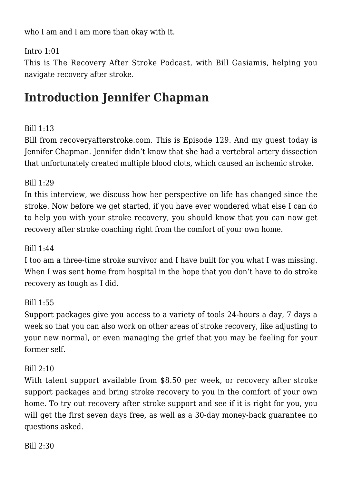who I am and I am more than okay with it.

#### Intro 1:01

This is The Recovery After Stroke Podcast, with Bill Gasiamis, helping you navigate recovery after stroke.

# **Introduction Jennifer Chapman**

#### Bill 1:13

Bill from [recoveryafterstroke.com](http://recoveryafterstroke.com). This is Episode 129. And my guest today is Jennifer Chapman. Jennifer didn't know that she had a vertebral artery dissection that unfortunately created multiple blood clots, which caused an ischemic stroke.

#### Bill 1:29

In this interview, we discuss how her perspective on life has changed since the stroke. Now before we get started, if you have ever wondered what else I can do to help you with your stroke recovery, you should know that you can now get recovery after stroke coaching right from the comfort of your own home.

#### Bill 1:44

I too am a three-time stroke survivor and I have built for you what I was missing. When I was sent home from hospital in the hope that you don't have to do stroke recovery as tough as I did.

#### Bill 1:55

Support packages give you access to a variety of tools 24-hours a day, 7 days a week so that you can also work on other areas of stroke recovery, like adjusting to your new normal, or even managing the grief that you may be feeling for your former self.

#### Bill  $2:10$

With talent support available from \$8.50 per week, or recovery after stroke support packages and bring stroke recovery to you in the comfort of your own home. To try out recovery after stroke support and see if it is right for you, you will get the first seven days free, as well as a 30-day money-back guarantee no questions asked.

Bill 2:30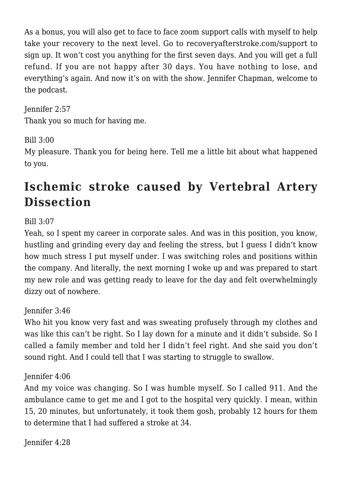As a bonus, you will also get to face to face zoom support calls with myself to help take your recovery to the next level. Go to [recoveryafterstroke.com/support](http://recoveryafterstroke.com/support) to sign up. It won't cost you anything for the first seven days. And you will get a full refund. If you are not happy after 30 days. You have nothing to lose, and everything's again. And now it's on with the show. Jennifer Chapman, welcome to the podcast.

Jennifer 2:57 Thank you so much for having me.

#### Bill 3:00

My pleasure. Thank you for being here. Tell me a little bit about what happened to you.

# **Ischemic stroke caused by Vertebral Artery Dissection**

#### Bill 3:07

Yeah, so I spent my career in corporate sales. And was in this position, you know, hustling and grinding every day and feeling the stress, but I guess I didn't know how much stress I put myself under. I was switching roles and positions within the company. And literally, the next morning I woke up and was prepared to start my new role and was getting ready to leave for the day and felt overwhelmingly dizzy out of nowhere.

#### Jennifer 3:46

Who hit you know very fast and was sweating profusely through my clothes and was like this can't be right. So I lay down for a minute and it didn't subside. So I called a family member and told her I didn't feel right. And she said you don't sound right. And I could tell that I was starting to struggle to swallow.

#### Jennifer 4:06

And my voice was changing. So I was humble myself. So I called 911. And the ambulance came to get me and I got to the hospital very quickly. I mean, within 15, 20 minutes, but unfortunately, it took them gosh, probably 12 hours for them to determine that I had suffered a stroke at 34.

Jennifer 4:28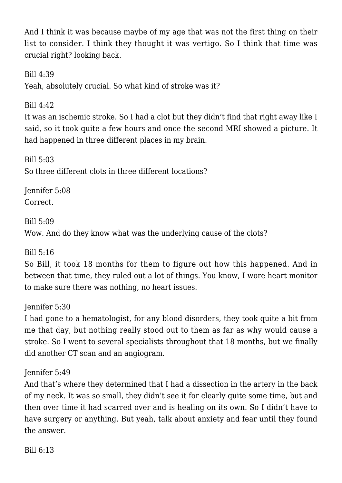And I think it was because maybe of my age that was not the first thing on their list to consider. I think they thought it was vertigo. So I think that time was crucial right? looking back.

Bill 4:39

Yeah, absolutely crucial. So what kind of stroke was it?

Bill  $4:42$ 

It was an ischemic stroke. So I had a clot but they didn't find that right away like I said, so it took quite a few hours and once the second MRI showed a picture. It had happened in three different places in my brain.

Bill  $5:03$ So three different clots in three different locations?

Jennifer 5:08 Correct.

Bill 5:09

Wow. And do they know what was the underlying cause of the clots?

Bill 5:16

So Bill, it took 18 months for them to figure out how this happened. And in between that time, they ruled out a lot of things. You know, I wore heart monitor to make sure there was nothing, no heart issues.

Jennifer 5:30

I had gone to a hematologist, for any blood disorders, they took quite a bit from me that day, but nothing really stood out to them as far as why would cause a stroke. So I went to several specialists throughout that 18 months, but we finally did another CT scan and an angiogram.

Jennifer 5:49

And that's where they determined that I had a dissection in the artery in the back of my neck. It was so small, they didn't see it for clearly quite some time, but and then over time it had scarred over and is healing on its own. So I didn't have to have surgery or anything. But yeah, talk about anxiety and fear until they found the answer.

Bill 6:13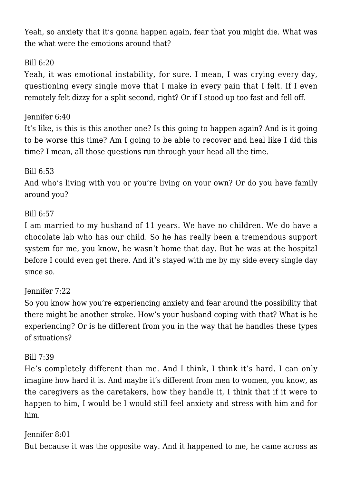Yeah, so anxiety that it's gonna happen again, fear that you might die. What was the what were the emotions around that?

#### Bill  $6:20$

Yeah, it was emotional instability, for sure. I mean, I was crying every day, questioning every single move that I make in every pain that I felt. If I even remotely felt dizzy for a split second, right? Or if I stood up too fast and fell off.

#### Jennifer 6:40

It's like, is this is this another one? Is this going to happen again? And is it going to be worse this time? Am I going to be able to recover and heal like I did this time? I mean, all those questions run through your head all the time.

#### Bill 6:53

And who's living with you or you're living on your own? Or do you have family around you?

#### Bill 6:57

I am married to my husband of 11 years. We have no children. We do have a chocolate lab who has our child. So he has really been a tremendous support system for me, you know, he wasn't home that day. But he was at the hospital before I could even get there. And it's stayed with me by my side every single day since so.

#### Jennifer 7:22

So you know how you're experiencing anxiety and fear around the possibility that there might be another stroke. How's your husband coping with that? What is he experiencing? Or is he different from you in the way that he handles these types of situations?

#### Bill 7:39

He's completely different than me. And I think, I think it's hard. I can only imagine how hard it is. And maybe it's different from men to women, you know, as the caregivers as the caretakers, how they handle it, I think that if it were to happen to him, I would be I would still feel anxiety and stress with him and for him.

#### Jennifer 8:01

But because it was the opposite way. And it happened to me, he came across as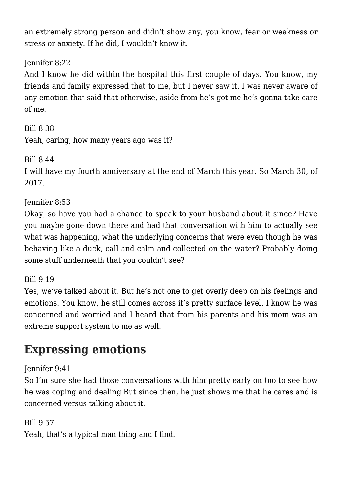an extremely strong person and didn't show any, you know, fear or weakness or stress or anxiety. If he did, I wouldn't know it.

#### Jennifer 8:22

And I know he did within the hospital this first couple of days. You know, my friends and family expressed that to me, but I never saw it. I was never aware of any emotion that said that otherwise, aside from he's got me he's gonna take care of me.

Bill 8:38 Yeah, caring, how many years ago was it?

Bill 8:44

I will have my fourth anniversary at the end of March this year. So March 30, of 2017.

Jennifer 8:53

Okay, so have you had a chance to speak to your husband about it since? Have you maybe gone down there and had that conversation with him to actually see what was happening, what the underlying concerns that were even though he was behaving like a duck, call and calm and collected on the water? Probably doing some stuff underneath that you couldn't see?

Bill 9:19

Yes, we've talked about it. But he's not one to get overly deep on his feelings and emotions. You know, he still comes across it's pretty surface level. I know he was concerned and worried and I heard that from his parents and his mom was an extreme support system to me as well.

# **Expressing emotions**

#### Jennifer 9:41

So I'm sure she had those conversations with him pretty early on too to see how he was coping and dealing But since then, he just shows me that he cares and is concerned versus talking about it.

Bill 9:57

Yeah, that's a typical man thing and I find.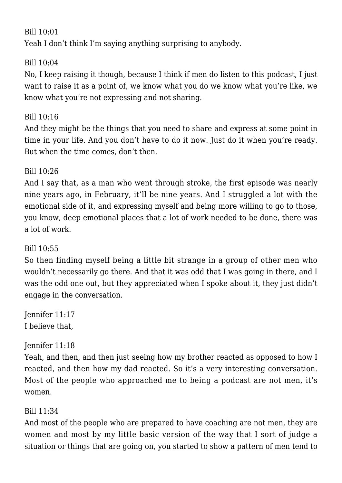#### Bill 10:01

Yeah I don't think I'm saying anything surprising to anybody.

#### Bill 10:04

No, I keep raising it though, because I think if men do listen to this podcast, I just want to raise it as a point of, we know what you do we know what you're like, we know what you're not expressing and not sharing.

#### Bill  $10.16$

And they might be the things that you need to share and express at some point in time in your life. And you don't have to do it now. Just do it when you're ready. But when the time comes, don't then.

#### Bill 10:26

And I say that, as a man who went through stroke, the first episode was nearly nine years ago, in February, it'll be nine years. And I struggled a lot with the emotional side of it, and expressing myself and being more willing to go to those, you know, deep emotional places that a lot of work needed to be done, there was a lot of work.

#### Bill  $10:55$

So then finding myself being a little bit strange in a group of other men who wouldn't necessarily go there. And that it was odd that I was going in there, and I was the odd one out, but they appreciated when I spoke about it, they just didn't engage in the conversation.

Jennifer 11:17 I believe that,

#### Jennifer 11:18

Yeah, and then, and then just seeing how my brother reacted as opposed to how I reacted, and then how my dad reacted. So it's a very interesting conversation. Most of the people who approached me to being a podcast are not men, it's women.

#### Bill 11:34

And most of the people who are prepared to have coaching are not men, they are women and most by my little basic version of the way that I sort of judge a situation or things that are going on, you started to show a pattern of men tend to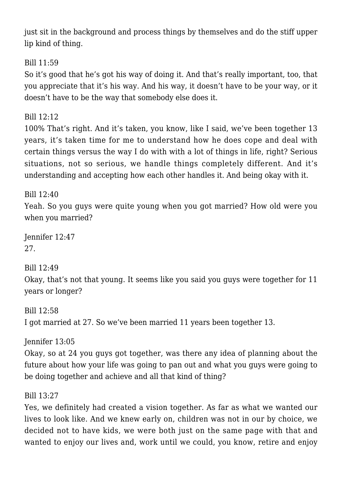just sit in the background and process things by themselves and do the stiff upper lip kind of thing.

Bill 11:59

So it's good that he's got his way of doing it. And that's really important, too, that you appreciate that it's his way. And his way, it doesn't have to be your way, or it doesn't have to be the way that somebody else does it.

Bill 12:12

100% That's right. And it's taken, you know, like I said, we've been together 13 years, it's taken time for me to understand how he does cope and deal with certain things versus the way I do with with a lot of things in life, right? Serious situations, not so serious, we handle things completely different. And it's understanding and accepting how each other handles it. And being okay with it.

Bill 12:40 Yeah. So you guys were quite young when you got married? How old were you when you married?

Jennifer 12:47 27.

Bill 12:49

Okay, that's not that young. It seems like you said you guys were together for 11 years or longer?

Bill 12:58 I got married at 27. So we've been married 11 years been together 13.

Jennifer 13:05 Okay, so at 24 you guys got together, was there any idea of planning about the future about how your life was going to pan out and what you guys were going to be doing together and achieve and all that kind of thing?

Bill 13:27

Yes, we definitely had created a vision together. As far as what we wanted our lives to look like. And we knew early on, children was not in our by choice, we decided not to have kids, we were both just on the same page with that and wanted to enjoy our lives and, work until we could, you know, retire and enjoy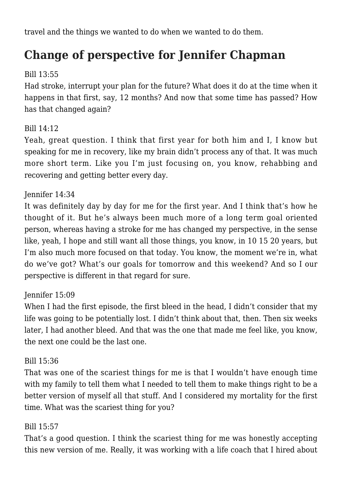travel and the things we wanted to do when we wanted to do them.

# **Change of perspective for Jennifer Chapman**

#### Bill 13:55

Had stroke, interrupt your plan for the future? What does it do at the time when it happens in that first, say, 12 months? And now that some time has passed? How has that changed again?

#### Bill 14:12

Yeah, great question. I think that first year for both him and I, I know but speaking for me in recovery, like my brain didn't process any of that. It was much more short term. Like you I'm just focusing on, you know, rehabbing and recovering and getting better every day.

#### Jennifer 14:34

It was definitely day by day for me for the first year. And I think that's how he thought of it. But he's always been much more of a long term goal oriented person, whereas having a stroke for me has changed my perspective, in the sense like, yeah, I hope and still want all those things, you know, in 10 15 20 years, but I'm also much more focused on that today. You know, the moment we're in, what do we've got? What's our goals for tomorrow and this weekend? And so I our perspective is different in that regard for sure.

#### Jennifer 15:09

When I had the first episode, the first bleed in the head, I didn't consider that my life was going to be potentially lost. I didn't think about that, then. Then six weeks later, I had another bleed. And that was the one that made me feel like, you know, the next one could be the last one.

#### Bill 15:36

That was one of the scariest things for me is that I wouldn't have enough time with my family to tell them what I needed to tell them to make things right to be a better version of myself all that stuff. And I considered my mortality for the first time. What was the scariest thing for you?

#### Bill 15:57

That's a good question. I think the scariest thing for me was honestly accepting this new version of me. Really, it was working with a life coach that I hired about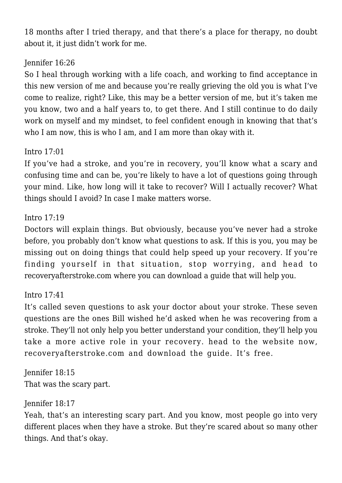18 months after I tried therapy, and that there's a place for therapy, no doubt about it, it just didn't work for me.

#### Jennifer 16:26

So I heal through working with a life coach, and working to find acceptance in this new version of me and because you're really grieving the old you is what I've come to realize, right? Like, this may be a better version of me, but it's taken me you know, two and a half years to, to get there. And I still continue to do daily work on myself and my mindset, to feel confident enough in knowing that that's who I am now, this is who I am, and I am more than okay with it.

#### Intro 17:01

If you've had a stroke, and you're in recovery, you'll know what a scary and confusing time and can be, you're likely to have a lot of questions going through your mind. Like, how long will it take to recover? Will I actually recover? What things should I avoid? In case I make matters worse.

#### Intro 17:19

Doctors will explain things. But obviously, because you've never had a stroke before, you probably don't know what questions to ask. If this is you, you may be missing out on doing things that could help speed up your recovery. If you're finding yourself in that situation, stop worrying, and head to recoveryafterstroke.com where you can download a guide that will help you.

#### Intro 17:41

It's called seven questions to ask your doctor about your stroke. These seven questions are the ones Bill wished he'd asked when he was recovering from a stroke. They'll not only help you better understand your condition, they'll help you take a more active role in your recovery. head to the website now, recoveryafterstroke.com and download the guide. It's free.

Jennifer 18:15 That was the scary part.

#### Jennifer 18:17

Yeah, that's an interesting scary part. And you know, most people go into very different places when they have a stroke. But they're scared about so many other things. And that's okay.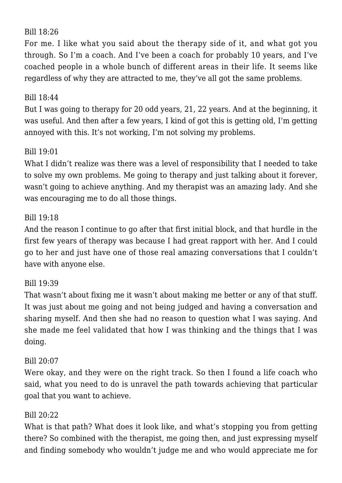#### Bill 18:26

For me. I like what you said about the therapy side of it, and what got you through. So I'm a coach. And I've been a coach for probably 10 years, and I've coached people in a whole bunch of different areas in their life. It seems like regardless of why they are attracted to me, they've all got the same problems.

#### Bill 18:44

But I was going to therapy for 20 odd years, 21, 22 years. And at the beginning, it was useful. And then after a few years, I kind of got this is getting old, I'm getting annoyed with this. It's not working, I'm not solving my problems.

#### Bill  $19.01$

What I didn't realize was there was a level of responsibility that I needed to take to solve my own problems. Me going to therapy and just talking about it forever, wasn't going to achieve anything. And my therapist was an amazing lady. And she was encouraging me to do all those things.

#### Bill 19:18

And the reason I continue to go after that first initial block, and that hurdle in the first few years of therapy was because I had great rapport with her. And I could go to her and just have one of those real amazing conversations that I couldn't have with anyone else.

#### Bill 19:39

That wasn't about fixing me it wasn't about making me better or any of that stuff. It was just about me going and not being judged and having a conversation and sharing myself. And then she had no reason to question what I was saying. And she made me feel validated that how I was thinking and the things that I was doing.

#### Bill 20:07

Were okay, and they were on the right track. So then I found a life coach who said, what you need to do is unravel the path towards achieving that particular goal that you want to achieve.

#### Bill 20:22

What is that path? What does it look like, and what's stopping you from getting there? So combined with the therapist, me going then, and just expressing myself and finding somebody who wouldn't judge me and who would appreciate me for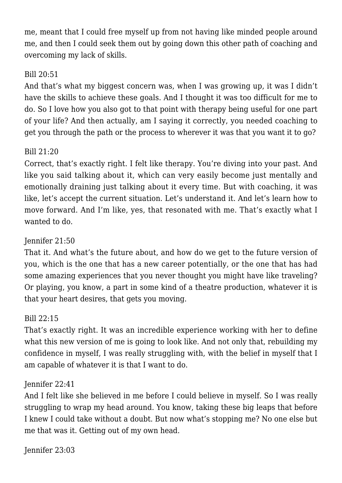me, meant that I could free myself up from not having like minded people around me, and then I could seek them out by going down this other path of coaching and overcoming my lack of skills.

#### Bill 20:51

And that's what my biggest concern was, when I was growing up, it was I didn't have the skills to achieve these goals. And I thought it was too difficult for me to do. So I love how you also got to that point with therapy being useful for one part of your life? And then actually, am I saying it correctly, you needed coaching to get you through the path or the process to wherever it was that you want it to go?

#### Bill 21:20

Correct, that's exactly right. I felt like therapy. You're diving into your past. And like you said talking about it, which can very easily become just mentally and emotionally draining just talking about it every time. But with coaching, it was like, let's accept the current situation. Let's understand it. And let's learn how to move forward. And I'm like, yes, that resonated with me. That's exactly what I wanted to do.

#### Jennifer 21:50

That it. And what's the future about, and how do we get to the future version of you, which is the one that has a new career potentially, or the one that has had some amazing experiences that you never thought you might have like traveling? Or playing, you know, a part in some kind of a theatre production, whatever it is that your heart desires, that gets you moving.

#### Bill 22:15

That's exactly right. It was an incredible experience working with her to define what this new version of me is going to look like. And not only that, rebuilding my confidence in myself, I was really struggling with, with the belief in myself that I am capable of whatever it is that I want to do.

#### Jennifer 22:41

And I felt like she believed in me before I could believe in myself. So I was really struggling to wrap my head around. You know, taking these big leaps that before I knew I could take without a doubt. But now what's stopping me? No one else but me that was it. Getting out of my own head.

Jennifer 23:03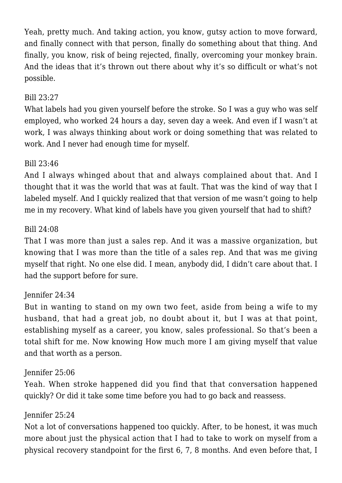Yeah, pretty much. And taking action, you know, gutsy action to move forward, and finally connect with that person, finally do something about that thing. And finally, you know, risk of being rejected, finally, overcoming your monkey brain. And the ideas that it's thrown out there about why it's so difficult or what's not possible.

#### Bill 23:27

What labels had you given yourself before the stroke. So I was a guy who was self employed, who worked 24 hours a day, seven day a week. And even if I wasn't at work, I was always thinking about work or doing something that was related to work. And I never had enough time for myself.

#### Bill 23:46

And I always whinged about that and always complained about that. And I thought that it was the world that was at fault. That was the kind of way that I labeled myself. And I quickly realized that that version of me wasn't going to help me in my recovery. What kind of labels have you given yourself that had to shift?

#### Bill 24:08

That I was more than just a sales rep. And it was a massive organization, but knowing that I was more than the title of a sales rep. And that was me giving myself that right. No one else did. I mean, anybody did, I didn't care about that. I had the support before for sure.

#### Jennifer 24:34

But in wanting to stand on my own two feet, aside from being a wife to my husband, that had a great job, no doubt about it, but I was at that point, establishing myself as a career, you know, sales professional. So that's been a total shift for me. Now knowing How much more I am giving myself that value and that worth as a person.

#### Jennifer 25:06

Yeah. When stroke happened did you find that that conversation happened quickly? Or did it take some time before you had to go back and reassess.

#### Jennifer 25:24

Not a lot of conversations happened too quickly. After, to be honest, it was much more about just the physical action that I had to take to work on myself from a physical recovery standpoint for the first 6, 7, 8 months. And even before that, I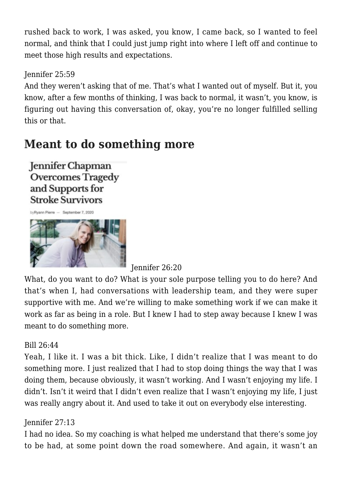rushed back to work, I was asked, you know, I came back, so I wanted to feel normal, and think that I could just jump right into where I left off and continue to meet those high results and expectations.

Jennifer 25:59

And they weren't asking that of me. That's what I wanted out of myself. But it, you know, after a few months of thinking, I was back to normal, it wasn't, you know, is figuring out having this conversation of, okay, you're no longer fulfilled selling this or that.

### **Meant to do something more**

**Jennifer Chapman Overcomes Tragedy** and Supports for **Stroke Survivors** 

huBusna Pierre - Sentember 7, 2020



Jennifer 26:20

What, do you want to do? What is your sole purpose telling you to do here? And that's when I, had conversations with leadership team, and they were super supportive with me. And we're willing to make something work if we can make it work as far as being in a role. But I knew I had to step away because I knew I was meant to do something more.

#### Bill 26:44

Yeah, I like it. I was a bit thick. Like, I didn't realize that I was meant to do something more. I just realized that I had to stop doing things the way that I was doing them, because obviously, it wasn't working. And I wasn't enjoying my life. I didn't. Isn't it weird that I didn't even realize that I wasn't enjoying my life, I just was really angry about it. And used to take it out on everybody else interesting.

#### Jennifer 27:13

I had no idea. So my coaching is what helped me understand that there's some joy to be had, at some point down the road somewhere. And again, it wasn't an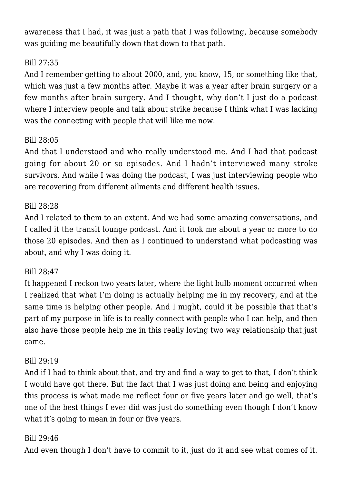awareness that I had, it was just a path that I was following, because somebody was guiding me beautifully down that down to that path.

#### Bill 27:35

And I remember getting to about 2000, and, you know, 15, or something like that, which was just a few months after. Maybe it was a year after brain surgery or a few months after brain surgery. And I thought, why don't I just do a podcast where I interview people and talk about strike because I think what I was lacking was the connecting with people that will like me now.

#### Bill 28:05

And that I understood and who really understood me. And I had that podcast going for about 20 or so episodes. And I hadn't interviewed many stroke survivors. And while I was doing the podcast, I was just interviewing people who are recovering from different ailments and different health issues.

#### Bill 28:28

And I related to them to an extent. And we had some amazing conversations, and I called it the transit lounge podcast. And it took me about a year or more to do those 20 episodes. And then as I continued to understand what podcasting was about, and why I was doing it.

#### Bill 28:47

It happened I reckon two years later, where the light bulb moment occurred when I realized that what I'm doing is actually helping me in my recovery, and at the same time is helping other people. And I might, could it be possible that that's part of my purpose in life is to really connect with people who I can help, and then also have those people help me in this really loving two way relationship that just came.

#### Bill 29:19

And if I had to think about that, and try and find a way to get to that, I don't think I would have got there. But the fact that I was just doing and being and enjoying this process is what made me reflect four or five years later and go well, that's one of the best things I ever did was just do something even though I don't know what it's going to mean in four or five years.

#### Bill 29:46

And even though I don't have to commit to it, just do it and see what comes of it.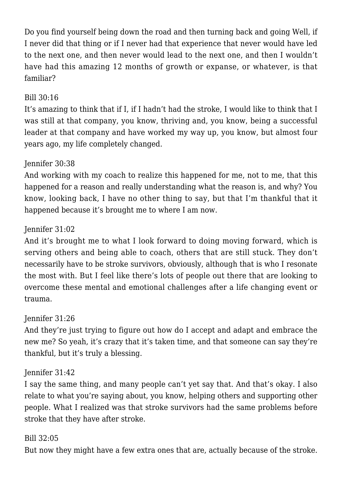Do you find yourself being down the road and then turning back and going Well, if I never did that thing or if I never had that experience that never would have led to the next one, and then never would lead to the next one, and then I wouldn't have had this amazing 12 months of growth or expanse, or whatever, is that familiar?

#### Bill 30:16

It's amazing to think that if I, if I hadn't had the stroke, I would like to think that I was still at that company, you know, thriving and, you know, being a successful leader at that company and have worked my way up, you know, but almost four years ago, my life completely changed.

#### Jennifer 30:38

And working with my coach to realize this happened for me, not to me, that this happened for a reason and really understanding what the reason is, and why? You know, looking back, I have no other thing to say, but that I'm thankful that it happened because it's brought me to where I am now.

#### Jennifer 31:02

And it's brought me to what I look forward to doing moving forward, which is serving others and being able to coach, others that are still stuck. They don't necessarily have to be stroke survivors, obviously, although that is who I resonate the most with. But I feel like there's lots of people out there that are looking to overcome these mental and emotional challenges after a life changing event or trauma.

#### Jennifer 31:26

And they're just trying to figure out how do I accept and adapt and embrace the new me? So yeah, it's crazy that it's taken time, and that someone can say they're thankful, but it's truly a blessing.

#### Jennifer 31:42

I say the same thing, and many people can't yet say that. And that's okay. I also relate to what you're saying about, you know, helping others and supporting other people. What I realized was that stroke survivors had the same problems before stroke that they have after stroke.

#### Bill 32:05

But now they might have a few extra ones that are, actually because of the stroke.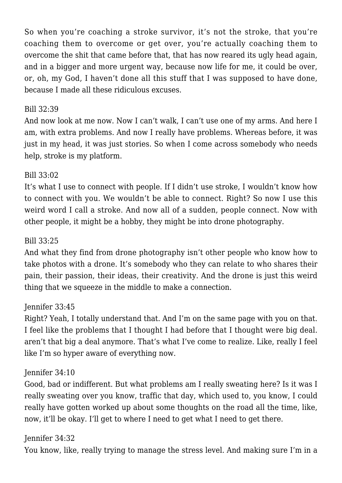So when you're coaching a stroke survivor, it's not the stroke, that you're coaching them to overcome or get over, you're actually coaching them to overcome the shit that came before that, that has now reared its ugly head again, and in a bigger and more urgent way, because now life for me, it could be over. or, oh, my God, I haven't done all this stuff that I was supposed to have done, because I made all these ridiculous excuses.

#### Bill 32:39

And now look at me now. Now I can't walk, I can't use one of my arms. And here I am, with extra problems. And now I really have problems. Whereas before, it was just in my head, it was just stories. So when I come across somebody who needs help, stroke is my platform.

#### Bill 33:02

It's what I use to connect with people. If I didn't use stroke, I wouldn't know how to connect with you. We wouldn't be able to connect. Right? So now I use this weird word I call a stroke. And now all of a sudden, people connect. Now with other people, it might be a hobby, they might be into drone photography.

#### Bill 33:25

And what they find from drone photography isn't other people who know how to take photos with a drone. It's somebody who they can relate to who shares their pain, their passion, their ideas, their creativity. And the drone is just this weird thing that we squeeze in the middle to make a connection.

#### Jennifer 33:45

Right? Yeah, I totally understand that. And I'm on the same page with you on that. I feel like the problems that I thought I had before that I thought were big deal. aren't that big a deal anymore. That's what I've come to realize. Like, really I feel like I'm so hyper aware of everything now.

#### Jennifer 34:10

Good, bad or indifferent. But what problems am I really sweating here? Is it was I really sweating over you know, traffic that day, which used to, you know, I could really have gotten worked up about some thoughts on the road all the time, like, now, it'll be okay. I'll get to where I need to get what I need to get there.

#### Jennifer 34:32

You know, like, really trying to manage the stress level. And making sure I'm in a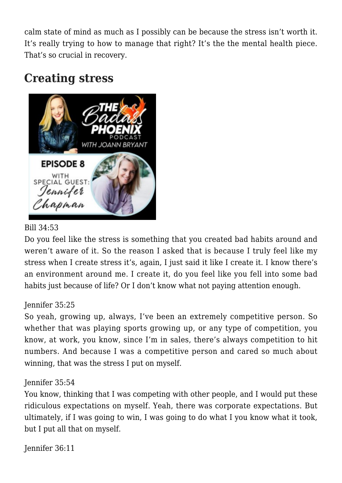calm state of mind as much as I possibly can be because the stress isn't worth it. It's really trying to how to manage that right? It's the the mental health piece. That's so crucial in recovery.

## **Creating stress**



#### Bill 34:53

Do you feel like the stress is something that you created bad habits around and weren't aware of it. So the reason I asked that is because I truly feel like my stress when I create stress it's, again, I just said it like I create it. I know there's an environment around me. I create it, do you feel like you fell into some bad habits just because of life? Or I don't know what not paying attention enough.

#### Jennifer 35:25

So yeah, growing up, always, I've been an extremely competitive person. So whether that was playing sports growing up, or any type of competition, you know, at work, you know, since I'm in sales, there's always competition to hit numbers. And because I was a competitive person and cared so much about winning, that was the stress I put on myself.

#### Jennifer 35:54

You know, thinking that I was competing with other people, and I would put these ridiculous expectations on myself. Yeah, there was corporate expectations. But ultimately, if I was going to win, I was going to do what I you know what it took, but I put all that on myself.

Jennifer 36:11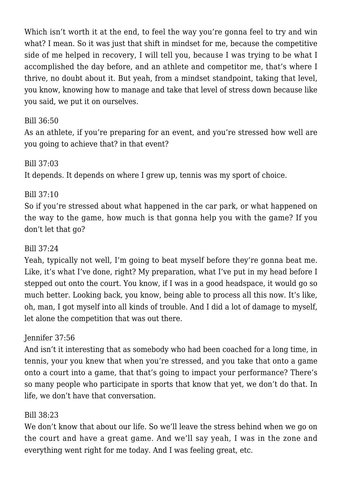Which isn't worth it at the end, to feel the way you're gonna feel to try and win what? I mean. So it was just that shift in mindset for me, because the competitive side of me helped in recovery, I will tell you, because I was trying to be what I accomplished the day before, and an athlete and competitor me, that's where I thrive, no doubt about it. But yeah, from a mindset standpoint, taking that level, you know, knowing how to manage and take that level of stress down because like you said, we put it on ourselves.

#### Bill 36:50

As an athlete, if you're preparing for an event, and you're stressed how well are you going to achieve that? in that event?

#### Bill 37:03

It depends. It depends on where I grew up, tennis was my sport of choice.

#### Bill 37:10

So if you're stressed about what happened in the car park, or what happened on the way to the game, how much is that gonna help you with the game? If you don't let that go?

#### Bill 37:24

Yeah, typically not well, I'm going to beat myself before they're gonna beat me. Like, it's what I've done, right? My preparation, what I've put in my head before I stepped out onto the court. You know, if I was in a good headspace, it would go so much better. Looking back, you know, being able to process all this now. It's like, oh, man, I got myself into all kinds of trouble. And I did a lot of damage to myself, let alone the competition that was out there.

#### Jennifer 37:56

And isn't it interesting that as somebody who had been coached for a long time, in tennis, your you knew that when you're stressed, and you take that onto a game onto a court into a game, that that's going to impact your performance? There's so many people who participate in sports that know that yet, we don't do that. In life, we don't have that conversation.

#### Bill 38:23

We don't know that about our life. So we'll leave the stress behind when we go on the court and have a great game. And we'll say yeah, I was in the zone and everything went right for me today. And I was feeling great, etc.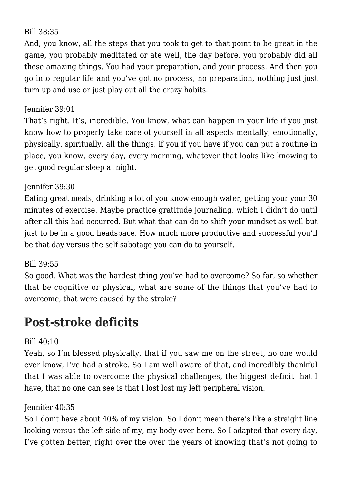#### Bill 38:35

And, you know, all the steps that you took to get to that point to be great in the game, you probably meditated or ate well, the day before, you probably did all these amazing things. You had your preparation, and your process. And then you go into regular life and you've got no process, no preparation, nothing just just turn up and use or just play out all the crazy habits.

#### Jennifer 39:01

That's right. It's, incredible. You know, what can happen in your life if you just know how to properly take care of yourself in all aspects mentally, emotionally, physically, spiritually, all the things, if you if you have if you can put a routine in place, you know, every day, every morning, whatever that looks like knowing to get good regular sleep at night.

#### Jennifer 39:30

Eating great meals, drinking a lot of you know enough water, getting your your 30 minutes of exercise. Maybe practice gratitude journaling, which I didn't do until after all this had occurred. But what that can do to shift your mindset as well but just to be in a good headspace. How much more productive and successful you'll be that day versus the self sabotage you can do to yourself.

#### Bill 39:55

So good. What was the hardest thing you've had to overcome? So far, so whether that be cognitive or physical, what are some of the things that you've had to overcome, that were caused by the stroke?

### **Post-stroke deficits**

#### Bill 40:10

Yeah, so I'm blessed physically, that if you saw me on the street, no one would ever know, I've had a stroke. So I am well aware of that, and incredibly thankful that I was able to overcome the physical challenges, the biggest deficit that I have, that no one can see is that I lost lost my left peripheral vision.

#### Jennifer 40:35

So I don't have about 40% of my vision. So I don't mean there's like a straight line looking versus the left side of my, my body over here. So I adapted that every day, I've gotten better, right over the over the years of knowing that's not going to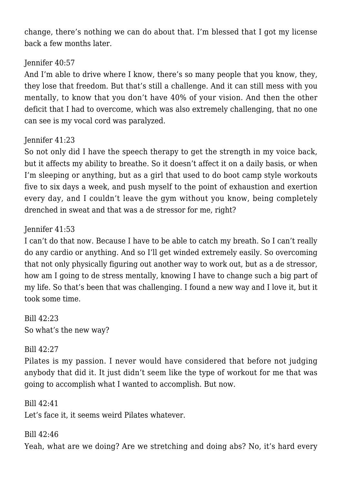change, there's nothing we can do about that. I'm blessed that I got my license back a few months later.

#### Jennifer 40:57

And I'm able to drive where I know, there's so many people that you know, they, they lose that freedom. But that's still a challenge. And it can still mess with you mentally, to know that you don't have 40% of your vision. And then the other deficit that I had to overcome, which was also extremely challenging, that no one can see is my vocal cord was paralyzed.

#### Jennifer 41:23

So not only did I have the speech therapy to get the strength in my voice back, but it affects my ability to breathe. So it doesn't affect it on a daily basis, or when I'm sleeping or anything, but as a girl that used to do boot camp style workouts five to six days a week, and push myself to the point of exhaustion and exertion every day, and I couldn't leave the gym without you know, being completely drenched in sweat and that was a de stressor for me, right?

#### Jennifer 41:53

I can't do that now. Because I have to be able to catch my breath. So I can't really do any cardio or anything. And so I'll get winded extremely easily. So overcoming that not only physically figuring out another way to work out, but as a de stressor, how am I going to de stress mentally, knowing I have to change such a big part of my life. So that's been that was challenging. I found a new way and I love it, but it took some time.

Bill 42:23 So what's the new way?

#### Bill 42:27

Pilates is my passion. I never would have considered that before not judging anybody that did it. It just didn't seem like the type of workout for me that was going to accomplish what I wanted to accomplish. But now.

Bill 42:41 Let's face it, it seems weird Pilates whatever.

#### Bill 42:46

Yeah, what are we doing? Are we stretching and doing abs? No, it's hard every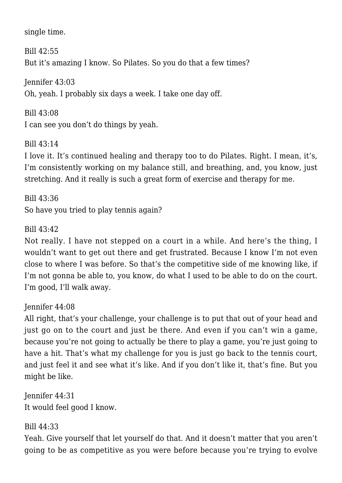single time.

Bill  $42:55$ But it's amazing I know. So Pilates. So you do that a few times?

Jennifer 43:03 Oh, yeah. I probably six days a week. I take one day off.

Bill 43:08 I can see you don't do things by yeah.

Bill 43:14

I love it. It's continued healing and therapy too to do Pilates. Right. I mean, it's, I'm consistently working on my balance still, and breathing, and, you know, just stretching. And it really is such a great form of exercise and therapy for me.

Bill 43:36 So have you tried to play tennis again?

Bill 43:42

Not really. I have not stepped on a court in a while. And here's the thing, I wouldn't want to get out there and get frustrated. Because I know I'm not even close to where I was before. So that's the competitive side of me knowing like, if I'm not gonna be able to, you know, do what I used to be able to do on the court. I'm good, I'll walk away.

Jennifer 44:08

All right, that's your challenge, your challenge is to put that out of your head and just go on to the court and just be there. And even if you can't win a game, because you're not going to actually be there to play a game, you're just going to have a hit. That's what my challenge for you is just go back to the tennis court, and just feel it and see what it's like. And if you don't like it, that's fine. But you might be like.

Jennifer 44:31 It would feel good I know.

#### Bill 44:33

Yeah. Give yourself that let yourself do that. And it doesn't matter that you aren't going to be as competitive as you were before because you're trying to evolve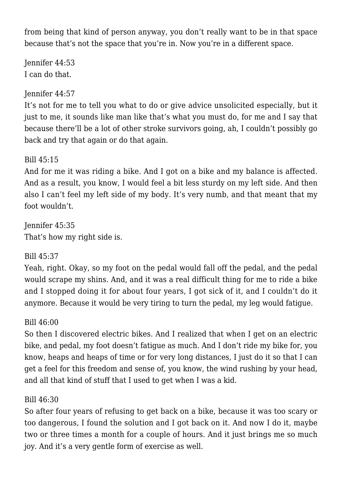from being that kind of person anyway, you don't really want to be in that space because that's not the space that you're in. Now you're in a different space.

Jennifer 44:53 I can do that.

#### Jennifer 44:57

It's not for me to tell you what to do or give advice unsolicited especially, but it just to me, it sounds like man like that's what you must do, for me and I say that because there'll be a lot of other stroke survivors going, ah, I couldn't possibly go back and try that again or do that again.

#### Bill 45:15

And for me it was riding a bike. And I got on a bike and my balance is affected. And as a result, you know, I would feel a bit less sturdy on my left side. And then also I can't feel my left side of my body. It's very numb, and that meant that my foot wouldn't.

Jennifer 45:35 That's how my right side is.

#### Bill 45:37

Yeah, right. Okay, so my foot on the pedal would fall off the pedal, and the pedal would scrape my shins. And, and it was a real difficult thing for me to ride a bike and I stopped doing it for about four years, I got sick of it, and I couldn't do it anymore. Because it would be very tiring to turn the pedal, my leg would fatigue.

#### Bill 46:00

So then I discovered electric bikes. And I realized that when I get on an electric bike, and pedal, my foot doesn't fatigue as much. And I don't ride my bike for, you know, heaps and heaps of time or for very long distances, I just do it so that I can get a feel for this freedom and sense of, you know, the wind rushing by your head, and all that kind of stuff that I used to get when I was a kid.

#### Bill 46:30

So after four years of refusing to get back on a bike, because it was too scary or too dangerous, I found the solution and I got back on it. And now I do it, maybe two or three times a month for a couple of hours. And it just brings me so much joy. And it's a very gentle form of exercise as well.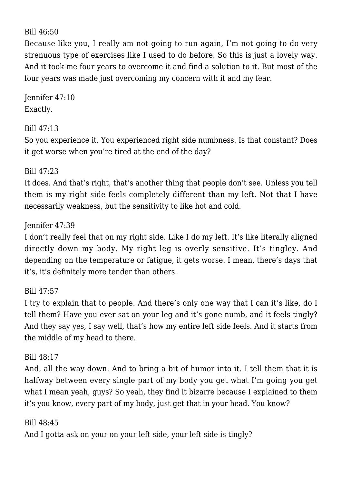#### Bill 46:50

Because like you, I really am not going to run again, I'm not going to do very strenuous type of exercises like I used to do before. So this is just a lovely way. And it took me four years to overcome it and find a solution to it. But most of the four years was made just overcoming my concern with it and my fear.

Jennifer 47:10 Exactly.

#### Bill 47:13

So you experience it. You experienced right side numbness. Is that constant? Does it get worse when you're tired at the end of the day?

#### Bill 47:23

It does. And that's right, that's another thing that people don't see. Unless you tell them is my right side feels completely different than my left. Not that I have necessarily weakness, but the sensitivity to like hot and cold.

#### Jennifer 47:39

I don't really feel that on my right side. Like I do my left. It's like literally aligned directly down my body. My right leg is overly sensitive. It's tingley. And depending on the temperature or fatigue, it gets worse. I mean, there's days that it's, it's definitely more tender than others.

#### Bill 47:57

I try to explain that to people. And there's only one way that I can it's like, do I tell them? Have you ever sat on your leg and it's gone numb, and it feels tingly? And they say yes, I say well, that's how my entire left side feels. And it starts from the middle of my head to there.

#### Bill 48:17

And, all the way down. And to bring a bit of humor into it. I tell them that it is halfway between every single part of my body you get what I'm going you get what I mean yeah, guys? So yeah, they find it bizarre because I explained to them it's you know, every part of my body, just get that in your head. You know?

#### Bill 48:45 And I gotta ask on your on your left side, your left side is tingly?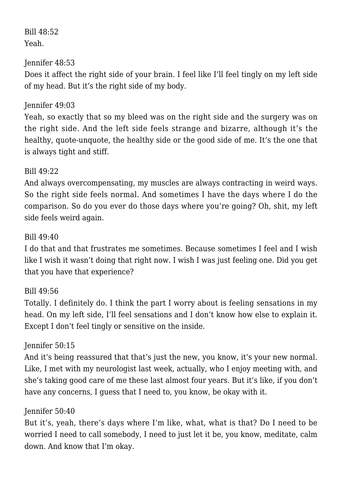#### Bill 48:52 Yeah.

#### Jennifer 48:53

Does it affect the right side of your brain. I feel like I'll feel tingly on my left side of my head. But it's the right side of my body.

#### Jennifer 49:03

Yeah, so exactly that so my bleed was on the right side and the surgery was on the right side. And the left side feels strange and bizarre, although it's the healthy, quote-unquote, the healthy side or the good side of me. It's the one that is always tight and stiff.

#### Bill 49:22

And always overcompensating, my muscles are always contracting in weird ways. So the right side feels normal. And sometimes I have the days where I do the comparison. So do you ever do those days where you're going? Oh, shit, my left side feels weird again.

#### Bill 49:40

I do that and that frustrates me sometimes. Because sometimes I feel and I wish like I wish it wasn't doing that right now. I wish I was just feeling one. Did you get that you have that experience?

#### Bill 49:56

Totally. I definitely do. I think the part I worry about is feeling sensations in my head. On my left side, I'll feel sensations and I don't know how else to explain it. Except I don't feel tingly or sensitive on the inside.

#### Jennifer 50:15

And it's being reassured that that's just the new, you know, it's your new normal. Like, I met with my neurologist last week, actually, who I enjoy meeting with, and she's taking good care of me these last almost four years. But it's like, if you don't have any concerns, I guess that I need to, you know, be okay with it.

#### Jennifer 50:40

But it's, yeah, there's days where I'm like, what, what is that? Do I need to be worried I need to call somebody, I need to just let it be, you know, meditate, calm down. And know that I'm okay.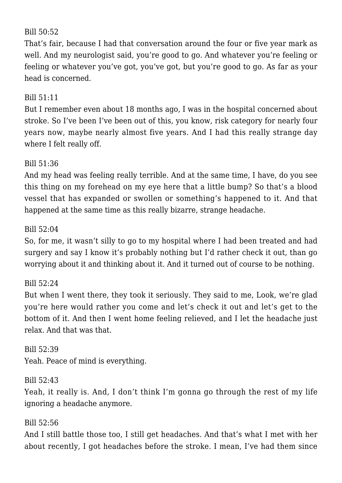#### Bill 50:52

That's fair, because I had that conversation around the four or five year mark as well. And my neurologist said, you're good to go. And whatever you're feeling or feeling or whatever you've got, you've got, but you're good to go. As far as your head is concerned.

#### Bill 51:11

But I remember even about 18 months ago, I was in the hospital concerned about stroke. So I've been I've been out of this, you know, risk category for nearly four years now, maybe nearly almost five years. And I had this really strange day where I felt really off.

#### Bill 51:36

And my head was feeling really terrible. And at the same time, I have, do you see this thing on my forehead on my eye here that a little bump? So that's a blood vessel that has expanded or swollen or something's happened to it. And that happened at the same time as this really bizarre, strange headache.

#### Bill 52:04

So, for me, it wasn't silly to go to my hospital where I had been treated and had surgery and say I know it's probably nothing but I'd rather check it out, than go worrying about it and thinking about it. And it turned out of course to be nothing.

#### Bill  $52:24$

But when I went there, they took it seriously. They said to me, Look, we're glad you're here would rather you come and let's check it out and let's get to the bottom of it. And then I went home feeling relieved, and I let the headache just relax. And that was that.

Bill 52:39 Yeah. Peace of mind is everything.

#### Bill 52:43

Yeah, it really is. And, I don't think I'm gonna go through the rest of my life ignoring a headache anymore.

#### Bill 52:56

And I still battle those too, I still get headaches. And that's what I met with her about recently, I got headaches before the stroke. I mean, I've had them since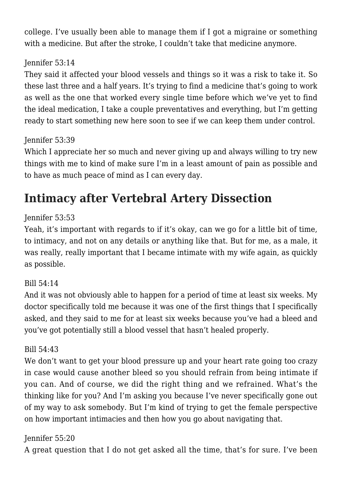college. I've usually been able to manage them if I got a migraine or something with a medicine. But after the stroke, I couldn't take that medicine anymore.

#### Jennifer 53:14

They said it affected your blood vessels and things so it was a risk to take it. So these last three and a half years. It's trying to find a medicine that's going to work as well as the one that worked every single time before which we've yet to find the ideal medication, I take a couple preventatives and everything, but I'm getting ready to start something new here soon to see if we can keep them under control.

#### Jennifer 53:39

Which I appreciate her so much and never giving up and always willing to try new things with me to kind of make sure I'm in a least amount of pain as possible and to have as much peace of mind as I can every day.

# **Intimacy after Vertebral Artery Dissection**

#### Jennifer 53:53

Yeah, it's important with regards to if it's okay, can we go for a little bit of time, to intimacy, and not on any details or anything like that. But for me, as a male, it was really, really important that I became intimate with my wife again, as quickly as possible.

#### Bill  $54.14$

And it was not obviously able to happen for a period of time at least six weeks. My doctor specifically told me because it was one of the first things that I specifically asked, and they said to me for at least six weeks because you've had a bleed and you've got potentially still a blood vessel that hasn't healed properly.

#### Bill 54:43

We don't want to get your blood pressure up and your heart rate going too crazy in case would cause another bleed so you should refrain from being intimate if you can. And of course, we did the right thing and we refrained. What's the thinking like for you? And I'm asking you because I've never specifically gone out of my way to ask somebody. But I'm kind of trying to get the female perspective on how important intimacies and then how you go about navigating that.

#### Jennifer 55:20

A great question that I do not get asked all the time, that's for sure. I've been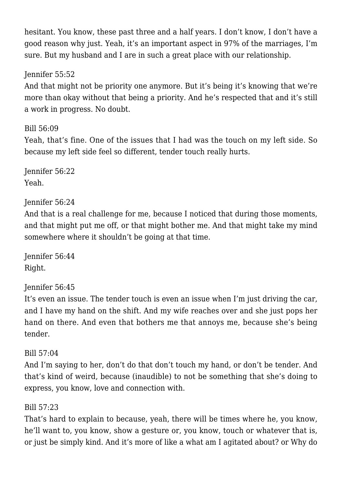hesitant. You know, these past three and a half years. I don't know, I don't have a good reason why just. Yeah, it's an important aspect in 97% of the marriages, I'm sure. But my husband and I are in such a great place with our relationship.

Jennifer 55:52

And that might not be priority one anymore. But it's being it's knowing that we're more than okay without that being a priority. And he's respected that and it's still a work in progress. No doubt.

Bill 56:09

Yeah, that's fine. One of the issues that I had was the touch on my left side. So because my left side feel so different, tender touch really hurts.

Jennifer 56:22 Yeah.

#### Jennifer 56:24

And that is a real challenge for me, because I noticed that during those moments, and that might put me off, or that might bother me. And that might take my mind somewhere where it shouldn't be going at that time.

Jennifer 56:44 Right.

#### Jennifer 56:45

It's even an issue. The tender touch is even an issue when I'm just driving the car, and I have my hand on the shift. And my wife reaches over and she just pops her hand on there. And even that bothers me that annoys me, because she's being tender.

#### Bill 57:04

And I'm saying to her, don't do that don't touch my hand, or don't be tender. And that's kind of weird, because (inaudible) to not be something that she's doing to express, you know, love and connection with.

#### Bill 57:23

That's hard to explain to because, yeah, there will be times where he, you know, he'll want to, you know, show a gesture or, you know, touch or whatever that is, or just be simply kind. And it's more of like a what am I agitated about? or Why do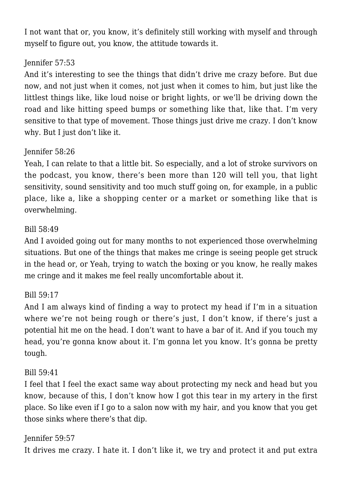I not want that or, you know, it's definitely still working with myself and through myself to figure out, you know, the attitude towards it.

#### Jennifer 57:53

And it's interesting to see the things that didn't drive me crazy before. But due now, and not just when it comes, not just when it comes to him, but just like the littlest things like, like loud noise or bright lights, or we'll be driving down the road and like hitting speed bumps or something like that, like that. I'm very sensitive to that type of movement. Those things just drive me crazy. I don't know why. But I just don't like it.

#### Jennifer 58:26

Yeah, I can relate to that a little bit. So especially, and a lot of stroke survivors on the podcast, you know, there's been more than 120 will tell you, that light sensitivity, sound sensitivity and too much stuff going on, for example, in a public place, like a, like a shopping center or a market or something like that is overwhelming.

#### Bill 58:49

And I avoided going out for many months to not experienced those overwhelming situations. But one of the things that makes me cringe is seeing people get struck in the head or, or Yeah, trying to watch the boxing or you know, he really makes me cringe and it makes me feel really uncomfortable about it.

#### Bill 59:17

And I am always kind of finding a way to protect my head if I'm in a situation where we're not being rough or there's just, I don't know, if there's just a potential hit me on the head. I don't want to have a bar of it. And if you touch my head, you're gonna know about it. I'm gonna let you know. It's gonna be pretty tough.

#### Bill 59:41

I feel that I feel the exact same way about protecting my neck and head but you know, because of this, I don't know how I got this tear in my artery in the first place. So like even if I go to a salon now with my hair, and you know that you get those sinks where there's that dip.

Jennifer 59:57 It drives me crazy. I hate it. I don't like it, we try and protect it and put extra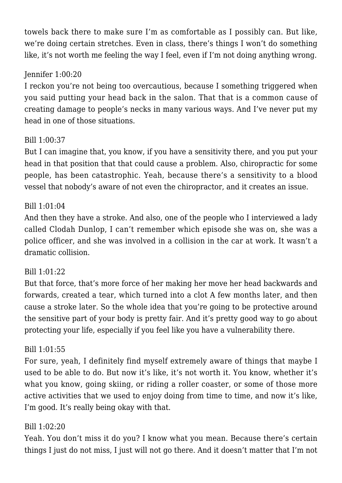towels back there to make sure I'm as comfortable as I possibly can. But like, we're doing certain stretches. Even in class, there's things I won't do something like, it's not worth me feeling the way I feel, even if I'm not doing anything wrong.

#### Jennifer 1:00:20

I reckon you're not being too overcautious, because I something triggered when you said putting your head back in the salon. That that is a common cause of creating damage to people's necks in many various ways. And I've never put my head in one of those situations.

#### Bill 1:00:37

But I can imagine that, you know, if you have a sensitivity there, and you put your head in that position that that could cause a problem. Also, chiropractic for some people, has been catastrophic. Yeah, because there's a sensitivity to a blood vessel that nobody's aware of not even the chiropractor, and it creates an issue.

#### Bill 1:01:04

And then they have a stroke. And also, one of the people who I interviewed a lady called Clodah Dunlop, I can't remember which episode she was on, she was a police officer, and she was involved in a collision in the car at work. It wasn't a dramatic collision.

#### Bill 1:01:22

But that force, that's more force of her making her move her head backwards and forwards, created a tear, which turned into a clot A few months later, and then cause a stroke later. So the whole idea that you're going to be protective around the sensitive part of your body is pretty fair. And it's pretty good way to go about protecting your life, especially if you feel like you have a vulnerability there.

#### Bill 1:01:55

For sure, yeah, I definitely find myself extremely aware of things that maybe I used to be able to do. But now it's like, it's not worth it. You know, whether it's what you know, going skiing, or riding a roller coaster, or some of those more active activities that we used to enjoy doing from time to time, and now it's like, I'm good. It's really being okay with that.

#### Bill 1:02:20

Yeah. You don't miss it do you? I know what you mean. Because there's certain things I just do not miss, I just will not go there. And it doesn't matter that I'm not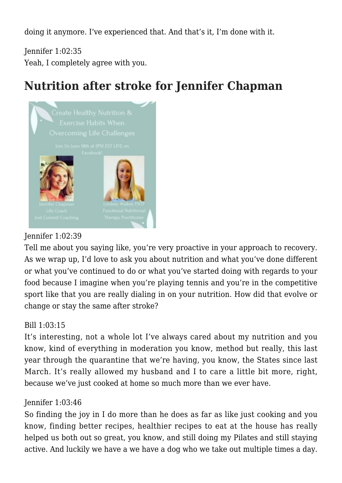doing it anymore. I've experienced that. And that's it, I'm done with it.

Jennifer 1:02:35 Yeah, I completely agree with you.

# **Nutrition after stroke for Jennifer Chapman**



#### Jennifer 1:02:39

Tell me about you saying like, you're very proactive in your approach to recovery. As we wrap up, I'd love to ask you about nutrition and what you've done different or what you've continued to do or what you've started doing with regards to your food because I imagine when you're playing tennis and you're in the competitive sport like that you are really dialing in on your nutrition. How did that evolve or change or stay the same after stroke?

#### Bill 1:03:15

It's interesting, not a whole lot I've always cared about my nutrition and you know, kind of everything in moderation you know, method but really, this last year through the quarantine that we're having, you know, the States since last March. It's really allowed my husband and I to care a little bit more, right, because we've just cooked at home so much more than we ever have.

#### Jennifer 1:03:46

So finding the joy in I do more than he does as far as like just cooking and you know, finding better recipes, healthier recipes to eat at the house has really helped us both out so great, you know, and still doing my Pilates and still staying active. And luckily we have a we have a dog who we take out multiple times a day.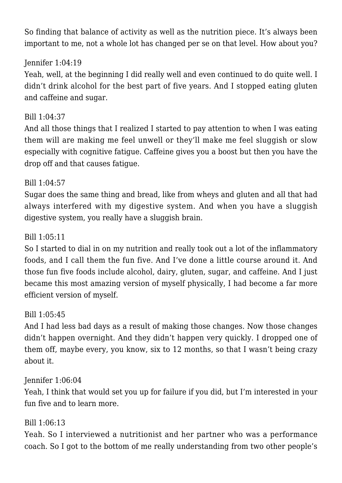So finding that balance of activity as well as the nutrition piece. It's always been important to me, not a whole lot has changed per se on that level. How about you?

#### Jennifer 1:04:19

Yeah, well, at the beginning I did really well and even continued to do quite well. I didn't drink alcohol for the best part of five years. And I stopped eating gluten and caffeine and sugar.

#### Bill 1:04:37

And all those things that I realized I started to pay attention to when I was eating them will are making me feel unwell or they'll make me feel sluggish or slow especially with cognitive fatigue. Caffeine gives you a boost but then you have the drop off and that causes fatigue.

#### Bill 1:04:57

Sugar does the same thing and bread, like from wheys and gluten and all that had always interfered with my digestive system. And when you have a sluggish digestive system, you really have a sluggish brain.

#### Bill 1:05:11

So I started to dial in on my nutrition and really took out a lot of the inflammatory foods, and I call them the fun five. And I've done a little course around it. And those fun five foods include alcohol, dairy, gluten, sugar, and caffeine. And I just became this most amazing version of myself physically, I had become a far more efficient version of myself.

#### Bill 1:05:45

And I had less bad days as a result of making those changes. Now those changes didn't happen overnight. And they didn't happen very quickly. I dropped one of them off, maybe every, you know, six to 12 months, so that I wasn't being crazy about it.

#### Jennifer 1:06:04

Yeah, I think that would set you up for failure if you did, but I'm interested in your fun five and to learn more.

#### Bill 1:06:13

Yeah. So I interviewed a nutritionist and her partner who was a performance coach. So I got to the bottom of me really understanding from two other people's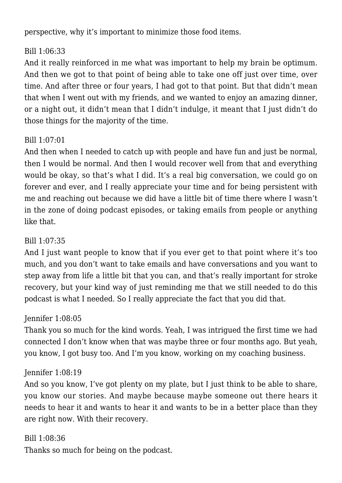perspective, why it's important to minimize those food items.

#### Bill 1:06:33

And it really reinforced in me what was important to help my brain be optimum. And then we got to that point of being able to take one off just over time, over time. And after three or four years, I had got to that point. But that didn't mean that when I went out with my friends, and we wanted to enjoy an amazing dinner, or a night out, it didn't mean that I didn't indulge, it meant that I just didn't do those things for the majority of the time.

#### Bill 1:07:01

And then when I needed to catch up with people and have fun and just be normal, then I would be normal. And then I would recover well from that and everything would be okay, so that's what I did. It's a real big conversation, we could go on forever and ever, and I really appreciate your time and for being persistent with me and reaching out because we did have a little bit of time there where I wasn't in the zone of doing podcast episodes, or taking emails from people or anything like that.

#### Bill 1:07:35

And I just want people to know that if you ever get to that point where it's too much, and you don't want to take emails and have conversations and you want to step away from life a little bit that you can, and that's really important for stroke recovery, but your kind way of just reminding me that we still needed to do this podcast is what I needed. So I really appreciate the fact that you did that.

#### Jennifer 1:08:05

Thank you so much for the kind words. Yeah, I was intrigued the first time we had connected I don't know when that was maybe three or four months ago. But yeah, you know, I got busy too. And I'm you know, working on my coaching business.

#### Jennifer 1:08:19

And so you know, I've got plenty on my plate, but I just think to be able to share, you know our stories. And maybe because maybe someone out there hears it needs to hear it and wants to hear it and wants to be in a better place than they are right now. With their recovery.

#### Bill 1:08:36

Thanks so much for being on the podcast.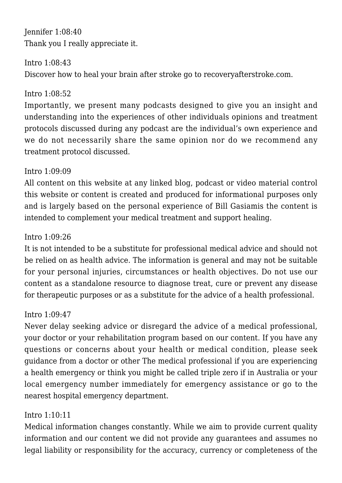Jennifer 1:08:40 Thank you I really appreciate it.

Intro 1:08:43

Discover how to heal your brain after stroke go to recoveryafterstroke.com.

#### Intro 1:08:52

Importantly, we present many podcasts designed to give you an insight and understanding into the experiences of other individuals opinions and treatment protocols discussed during any podcast are the individual's own experience and we do not necessarily share the same opinion nor do we recommend any treatment protocol discussed.

#### Intro 1:09:09

All content on this website at any linked blog, podcast or video material control this website or content is created and produced for informational purposes only and is largely based on the personal experience of Bill Gasiamis the content is intended to complement your medical treatment and support healing.

#### Intro 1:09:26

It is not intended to be a substitute for professional medical advice and should not be relied on as health advice. The information is general and may not be suitable for your personal injuries, circumstances or health objectives. Do not use our content as a standalone resource to diagnose treat, cure or prevent any disease for therapeutic purposes or as a substitute for the advice of a health professional.

#### Intro 1:09:47

Never delay seeking advice or disregard the advice of a medical professional, your doctor or your rehabilitation program based on our content. If you have any questions or concerns about your health or medical condition, please seek guidance from a doctor or other The medical professional if you are experiencing a health emergency or think you might be called triple zero if in Australia or your local emergency number immediately for emergency assistance or go to the nearest hospital emergency department.

#### Intro 1:10:11

Medical information changes constantly. While we aim to provide current quality information and our content we did not provide any guarantees and assumes no legal liability or responsibility for the accuracy, currency or completeness of the